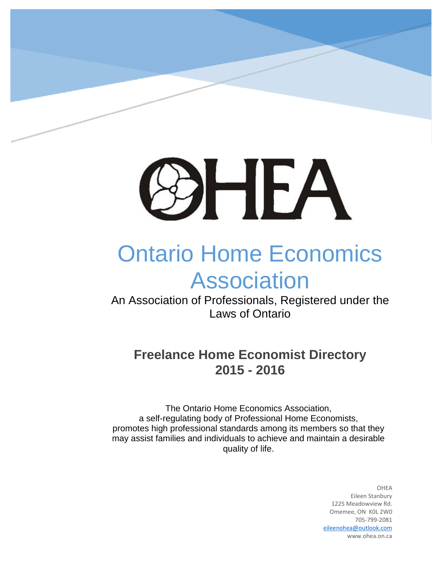

# Ontario Home Economics Association

An Association of Professionals, Registered under the Laws of Ontario

# **Freelance Home Economist Directory 2015 - 2016**

The Ontario Home Economics Association, a self-regulating body of Professional Home Economists, promotes high professional standards among its members so that they may assist families and individuals to achieve and maintain a desirable quality of life.

> OHEA Eileen Stanbury 1225 Meadowview Rd. Omemee, ON K0L 2W0 705-799-2081 [eileenohea@outlook.com](mailto:eileenohea@outlook.com) www.ohea.on.ca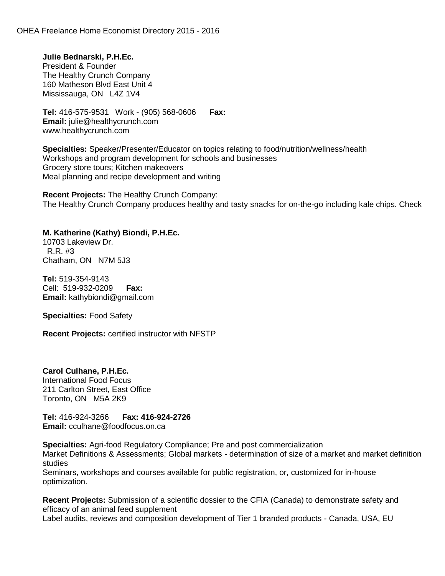**Julie Bednarski, P.H.Ec.** President & Founder The Healthy Crunch Company 160 Matheson Blvd East Unit 4 Mississauga, ON L4Z 1V4

**Tel:** 416-575-9531 Work - (905) 568-0606 **Fax: Email:** julie@healthycrunch.com www.healthycrunch.com

**Specialties:** Speaker/Presenter/Educator on topics relating to food/nutrition/wellness/health Workshops and program development for schools and businesses Grocery store tours; Kitchen makeovers Meal planning and recipe development and writing

**Recent Projects:** The Healthy Crunch Company: The Healthy Crunch Company produces healthy and tasty snacks for on-the-go including kale chips. Check

## **M. Katherine (Kathy) Biondi, P.H.Ec.**

10703 Lakeview Dr. **Private development for families and businesses for families and free for families and fresh and free for families and free for families and free for families and free for families and free for families** R.R. #3 Chatham, ON N7M 5J3

**Tel:** 519-354-9143 Cell: 519-932-0209 **Fax: Email:** kathybiondi@gmail.com

**Specialties:** Food Safety

**Recent Projects:** certified instructor with NFSTP

**Carol Culhane, P.H.Ec.**

International Food Focus 211 Carlton Street, East Office Toronto, ON M5A 2K9

**Tel:** 416-924-3266 **Fax: 416-924-2726 Email:** cculhane@foodfocus.on.ca

**Specialties:** Agri-food Regulatory Compliance; Pre and post commercialization

Market Definitions & Assessments; Global markets - determination of size of a market and market definition studies

Seminars, workshops and courses available for public registration, or, customized for in-house optimization.

**Recent Projects:** Submission of a scientific dossier to the CFIA (Canada) to demonstrate safety and efficacy of an animal feed supplement

Label audits, reviews and composition development of Tier 1 branded products - Canada, USA, EU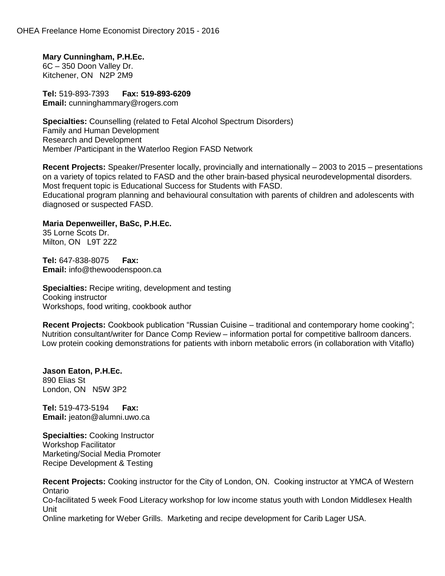**Mary Cunningham, P.H.Ec.** 6C – 350 Doon Valley Dr. Kitchener, ON N2P 2M9

**Tel:** 519-893-7393 **Fax: 519-893-6209 Email:** cunninghammary@rogers.com

**Specialties:** Counselling (related to Fetal Alcohol Spectrum Disorders) Family and Human Development Research and Development Member /Participant in the Waterloo Region FASD Network

**Recent Projects:** Speaker/Presenter locally, provincially and internationally – 2003 to 2015 – presentations on a variety of topics related to FASD and the other brain-based physical neurodevelopmental disorders. Most frequent topic is Educational Success for Students with FASD. Educational program planning and behavioural consultation with parents of children and adolescents with diagnosed or suspected FASD.

**Maria Depenweiller, BaSc, P.H.Ec.**

35 Lorne Scots Dr. Milton, ON L9T 2Z2

**Tel:** 647-838-8075 **Fax: Email:** info@thewoodenspoon.ca

**Specialties:** Recipe writing, development and testing Cooking instructor Workshops, food writing, cookbook author

**Recent Projects:** Cookbook publication "Russian Cuisine – traditional and contemporary home cooking"; Nutrition consultant/writer for Dance Comp Review – information portal for competitive ballroom dancers. Low protein cooking demonstrations for patients with inborn metabolic errors (in collaboration with Vitaflo)

**Jason Eaton, P.H.Ec.** 890 Elias St London, ON N5W 3P2

**Tel:** 519-473-5194 **Fax: Email:** jeaton@alumni.uwo.ca

**Specialties:** Cooking Instructor Workshop Facilitator Marketing/Social Media Promoter Recipe Development & Testing

**Recent Projects:** Cooking instructor for the City of London, ON. Cooking instructor at YMCA of Western Ontario Co-facilitated 5 week Food Literacy workshop for low income status youth with London Middlesex Health Unit Online marketing for Weber Grills. Marketing and recipe development for Carib Lager USA.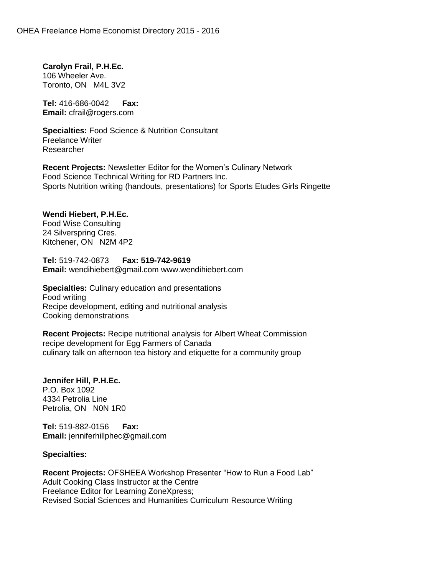**Carolyn Frail, P.H.Ec.** 106 Wheeler Ave. Toronto, ON M4L 3V2

**Tel:** 416-686-0042 **Fax: Email:** cfrail@rogers.com

**Specialties:** Food Science & Nutrition Consultant Freelance Writer Researcher

**Recent Projects:** Newsletter Editor for the Women's Culinary Network Food Science Technical Writing for RD Partners Inc. Sports Nutrition writing (handouts, presentations) for Sports Etudes Girls Ringette

# **Wendi Hiebert, P.H.Ec.**

Food Wise Consulting 24 Silverspring Cres. Kitchener, ON N2M 4P2

**Tel:** 519-742-0873 **Fax: 519-742-9619 Email:** wendihiebert@gmail.com www.wendihiebert.com

**Specialties:** Culinary education and presentations Food writing Recipe development, editing and nutritional analysis Cooking demonstrations

**Recent Projects:** Recipe nutritional analysis for Albert Wheat Commission recipe development for Egg Farmers of Canada culinary talk on afternoon tea history and etiquette for a community group

**Jennifer Hill, P.H.Ec.** P.O. Box 1092 4334 Petrolia Line Petrolia, ON N0N 1R0

**Tel:** 519-882-0156 **Fax: Email:** jenniferhillphec@gmail.com

## **Specialties:**

**Recent Projects:** OFSHEEA Workshop Presenter "How to Run a Food Lab" Adult Cooking Class Instructor at the Centre Freelance Editor for Learning ZoneXpress; Revised Social Sciences and Humanities Curriculum Resource Writing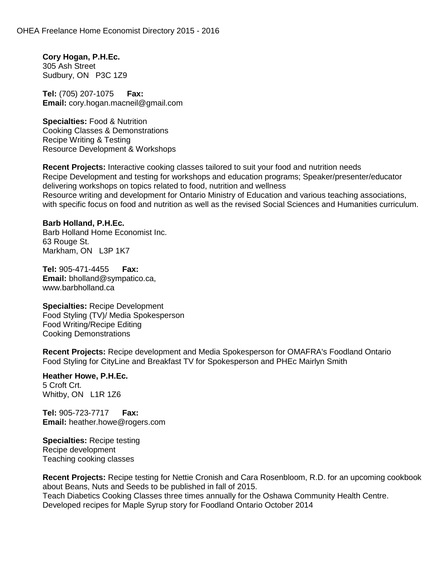**Cory Hogan, P.H.Ec.** 305 Ash Street Sudbury, ON P3C 1Z9

**Tel:** (705) 207-1075 **Fax: Email:** cory.hogan.macneil@gmail.com

**Specialties:** Food & Nutrition Cooking Classes & Demonstrations Recipe Writing & Testing Resource Development & Workshops

**Recent Projects:** Interactive cooking classes tailored to suit your food and nutrition needs Recipe Development and testing for workshops and education programs; Speaker/presenter/educator delivering workshops on topics related to food, nutrition and wellness Resource writing and development for Ontario Ministry of Education and various teaching associations, with specific focus on food and nutrition as well as the revised Social Sciences and Humanities curriculum.

**Barb Holland, P.H.Ec.** Barb Holland Home Economist Inc. 63 Rouge St. Markham, ON L3P 1K7

**Tel:** 905-471-4455 **Fax: Email:** bholland@sympatico.ca, www.barbholland.ca

**Specialties:** Recipe Development Food Styling (TV)/ Media Spokesperson Food Writing/Recipe Editing Cooking Demonstrations

**Recent Projects:** Recipe development and Media Spokesperson for OMAFRA's Foodland Ontario Food Styling for CityLine and Breakfast TV for Spokesperson and PHEc Mairlyn Smith

**Heather Howe, P.H.Ec.** 5 Croft Crt. Whitby, ON L1R 1Z6

**Tel:** 905-723-7717 **Fax: Email:** heather.howe@rogers.com

**Specialties:** Recipe testing Recipe development Teaching cooking classes

**Recent Projects:** Recipe testing for Nettie Cronish and Cara Rosenbloom, R.D. for an upcoming cookbook about Beans, Nuts and Seeds to be published in fall of 2015. Teach Diabetics Cooking Classes three times annually for the Oshawa Community Health Centre. Developed recipes for Maple Syrup story for Foodland Ontario October 2014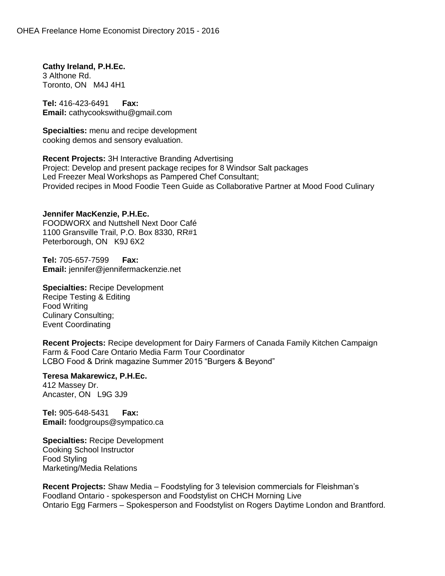**Cathy Ireland, P.H.Ec.** 3 Althone Rd. Toronto, ON M4J 4H1

**Tel:** 416-423-6491 **Fax: Email:** cathycookswithu@gmail.com

**Specialties:** menu and recipe development cooking demos and sensory evaluation.

**Recent Projects:** 3H Interactive Branding Advertising Project: Develop and present package recipes for 8 Windsor Salt packages Led Freezer Meal Workshops as Pampered Chef Consultant; Provided recipes in Mood Foodie Teen Guide as Collaborative Partner at Mood Food Culinary

**Jennifer MacKenzie, P.H.Ec.** FOODWORX and Nuttshell Next Door Café 1100 Gransville Trail, P.O. Box 8330, RR#1 Peterborough, ON K9J 6X2

**Tel:** 705-657-7599 **Fax: Email:** jennifer@jennifermackenzie.net

**Specialties:** Recipe Development Recipe Testing & Editing Food Writing Culinary Consulting; Event Coordinating

**Recent Projects:** Recipe development for Dairy Farmers of Canada Family Kitchen Campaign Farm & Food Care Ontario Media Farm Tour Coordinator LCBO Food & Drink magazine Summer 2015 "Burgers & Beyond"

**Teresa Makarewicz, P.H.Ec.** 412 Massey Dr. Ancaster, ON L9G 3J9

**Tel:** 905-648-5431 **Fax: Email:** foodgroups@sympatico.ca

**Specialties:** Recipe Development Cooking School Instructor Food Styling Marketing/Media Relations

**Recent Projects:** Shaw Media – Foodstyling for 3 television commercials for Fleishman's Foodland Ontario - spokesperson and Foodstylist on CHCH Morning Live Ontario Egg Farmers – Spokesperson and Foodstylist on Rogers Daytime London and Brantford.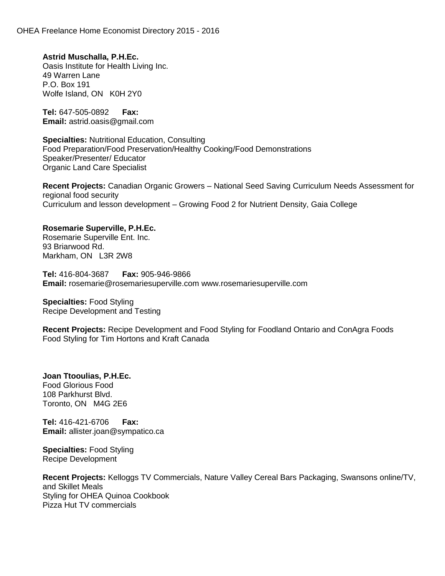**Astrid Muschalla, P.H.Ec.** Oasis Institute for Health Living Inc. 49 Warren Lane P.O. Box 191 Wolfe Island, ON K0H 2Y0

**Tel:** 647-505-0892 **Fax: Email:** astrid.oasis@gmail.com

**Specialties:** Nutritional Education, Consulting Food Preparation/Food Preservation/Healthy Cooking/Food Demonstrations Speaker/Presenter/ Educator Organic Land Care Specialist

**Recent Projects:** Canadian Organic Growers – National Seed Saving Curriculum Needs Assessment for regional food security Curriculum and lesson development – Growing Food 2 for Nutrient Density, Gaia College

#### **Rosemarie Superville, P.H.Ec.**

Rosemarie Superville Ent. Inc. 93 Briarwood Rd. Markham, ON L3R 2W8

**Tel:** 416-804-3687 **Fax:** 905-946-9866 **Email:** rosemarie@rosemariesuperville.com www.rosemariesuperville.com

**Specialties:** Food Styling Recipe Development and Testing

**Recent Projects:** Recipe Development and Food Styling for Foodland Ontario and ConAgra Foods Food Styling for Tim Hortons and Kraft Canada

**Joan Ttooulias, P.H.Ec.** Food Glorious Food 108 Parkhurst Blvd. Toronto, ON M4G 2E6

**Tel:** 416-421-6706 **Fax: Email:** allister.joan@sympatico.ca

**Specialties:** Food Styling Recipe Development

**Recent Projects:** Kelloggs TV Commercials, Nature Valley Cereal Bars Packaging, Swansons online/TV, and Skillet Meals Styling for OHEA Quinoa Cookbook Pizza Hut TV commercials